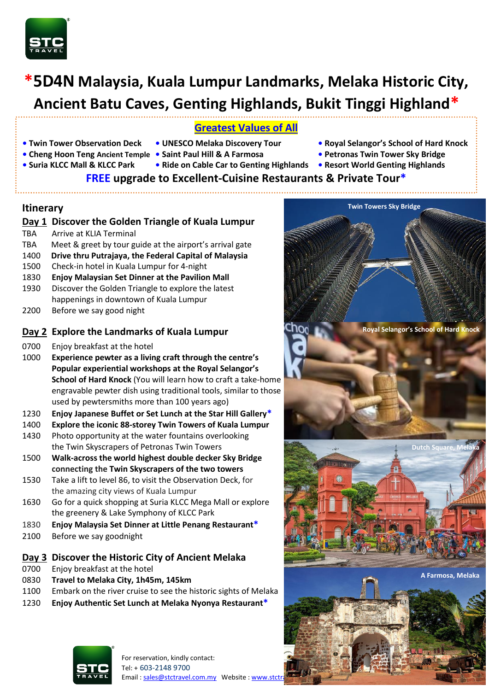

# **\*5D4N Malaysia, Kuala Lumpur Landmarks, Melaka Historic City, Ancient Batu Caves, Genting Highlands, Bukit Tinggi Highland\***

# **Greatest Values of All**

- 
- 
- 
- **Suria KLCC Mall & KLCC Park Ride on Cable Car to Genting Highlands • Resort World Genting Highlands**
- **• Twin Tower Observation Deck UNESCO Melaka Discovery Tour Royal Selangor's School of Hard Knock**
- **• Cheng Hoon Teng Ancient Temple Saint Paul Hill & A Farmosa Petronas Twin Tower Sky Bridge**
	-

# **FREE upgrade to Excellent-Cuisine Restaurants & Private Tour\***

# **Itinerary**

# **Day 1 Discover the Golden Triangle of Kuala Lumpur**

- TBA Arrive at KLIA Terminal
- TBA Meet & greet by tour guide at the airport's arrival gate
- 1400 **Drive thru Putrajaya, the Federal Capital of Malaysia**
- 1500 Check-in hotel in Kuala Lumpur for 4-night
- 1830 **Enjoy Malaysian Set Dinner at the Pavilion Mall**
- 1930 Discover the Golden Triangle to explore the latest happenings in downtown of Kuala Lumpur
- 2200 Before we say good night

# **Day 2 Explore the Landmarks of Kuala Lumpur**

- 0700 Enjoy breakfast at the hotel
- 1000 **Experience pewter as a living craft through the centre's Popular experiential workshops at the Royal Selangor's School of Hard Knock** (You will learn how to craft a take-home engravable pewter dish using traditional tools, similar to those used by pewtersmiths more than 100 years ago)
- 1230 **Enjoy Japanese Buffet or Set Lunch at the Star Hill Gallery\***
- 1400 **Explore the iconic 88-storey Twin Towers of Kuala Lumpur**
- 1430 Photo opportunity at the water fountains overlooking the Twin Skyscrapers of Petronas Twin Towers
- 1500 **Walk-across the world highest double decker Sky Bridge connecting the Twin Skyscrapers of the two towers**
- 1530 Take a lift to level 86, to visit the Observation Deck, for the amazing city views of Kuala Lumpur
- 1630 Go for a quick shopping at Suria KLCC Mega Mall or explore the greenery & Lake Symphony of KLCC Park
- 1830 **Enjoy Malaysia Set Dinner at Little Penang Restaurant\***
- 2100 Before we say goodnight

#### **Day 3 Discover the Historic City of Ancient Melaka**

- 0700 Enjoy breakfast at the hotel
- 0830 **Travel to Melaka City, 1h45m, 145km**
- 1100 Embark on the river cruise to see the historic sights of Melaka
- 1230 **Enjoy Authentic Set Lunch at Melaka Nyonya Restaurant\***



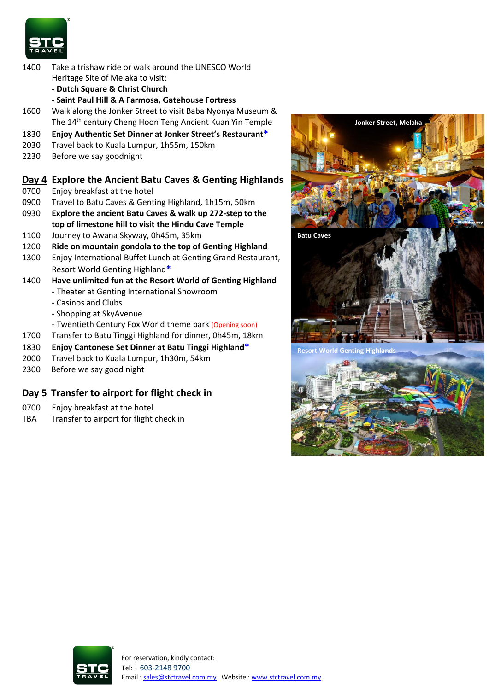

- 1400 Take a trishaw ride or walk around the UNESCO World Heritage Site of Melaka to visit:
	- **- Dutch Square & Christ Church**
	- **- Saint Paul Hill & A Farmosa, Gatehouse Fortress**
- 1600 Walk along the Jonker Street to visit Baba Nyonya Museum & The 14<sup>th</sup> century Cheng Hoon Teng Ancient Kuan Yin Temple
- 1830 **Enjoy Authentic Set Dinner at Jonker Street's Restaurant\***
- 2030 Travel back to Kuala Lumpur, 1h55m, 150km
- 2230 Before we say goodnight

# **Day 4 Explore the Ancient Batu Caves & Genting Highlands**

- 0700 Enjoy breakfast at the hotel
- 0900 Travel to Batu Caves & Genting Highland, 1h15m, 50km
- 0930 **Explore the ancient Batu Caves & walk up 272-step to the top of limestone hill to visit the Hindu Cave Temple**
- 1100 Journey to Awana Skyway, 0h45m, 35km
- 1200 **Ride on mountain gondola to the top of Genting Highland**
- 1300 Enjoy International Buffet Lunch at Genting Grand Restaurant, Resort World Genting Highland**\***
- 1400 **Have unlimited fun at the Resort World of Genting Highland** - Theater at Genting International Showroom
	-
	- Casinos and Clubs
	- Shopping at SkyAvenue
	- Twentieth Century Fox World theme park (Opening soon)
- 1700 Transfer to Batu Tinggi Highland for dinner, 0h45m, 18km
- 1830 **Enjoy Cantonese Set Dinner at Batu Tinggi Highland\***
- 2000 Travel back to Kuala Lumpur, 1h30m, 54km
- 2300 Before we say good night

# **Day 5 Transfer to airport for flight check in**

- 0700 Enjoy breakfast at the hotel
- TBA Transfer to airport for flight check in





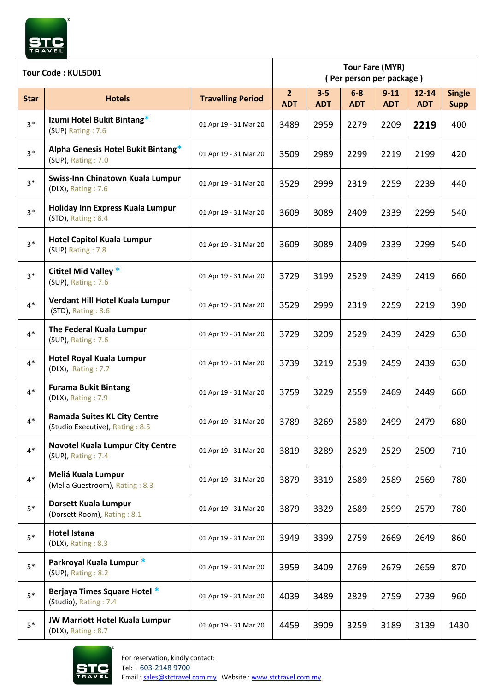

| Tour Code: KUL5D01 |                                                                        |                          | <b>Tour Fare (MYR)</b><br>(Per person per package) |                       |                     |                        |                         |                              |
|--------------------|------------------------------------------------------------------------|--------------------------|----------------------------------------------------|-----------------------|---------------------|------------------------|-------------------------|------------------------------|
| <b>Star</b>        | <b>Hotels</b>                                                          | <b>Travelling Period</b> | $\overline{2}$<br><b>ADT</b>                       | $3 - 5$<br><b>ADT</b> | $6-8$<br><b>ADT</b> | $9 - 11$<br><b>ADT</b> | $12 - 14$<br><b>ADT</b> | <b>Single</b><br><b>Supp</b> |
| $3*$               | Izumi Hotel Bukit Bintang*<br>(SUP) Rating: 7.6                        | 01 Apr 19 - 31 Mar 20    | 3489                                               | 2959                  | 2279                | 2209                   | 2219                    | 400                          |
| $3*$               | Alpha Genesis Hotel Bukit Bintang*<br>(SUP), Rating: 7.0               | 01 Apr 19 - 31 Mar 20    | 3509                                               | 2989                  | 2299                | 2219                   | 2199                    | 420                          |
| $3*$               | Swiss-Inn Chinatown Kuala Lumpur<br>(DLX), Rating: 7.6                 | 01 Apr 19 - 31 Mar 20    | 3529                                               | 2999                  | 2319                | 2259                   | 2239                    | 440                          |
| $3*$               | Holiday Inn Express Kuala Lumpur<br>(STD), Rating: 8.4                 | 01 Apr 19 - 31 Mar 20    | 3609                                               | 3089                  | 2409                | 2339                   | 2299                    | 540                          |
| $3*$               | <b>Hotel Capitol Kuala Lumpur</b><br>(SUP) Rating: 7.8                 | 01 Apr 19 - 31 Mar 20    | 3609                                               | 3089                  | 2409                | 2339                   | 2299                    | 540                          |
| $3*$               | Cititel Mid Valley *<br>(SUP), Rating: 7.6                             | 01 Apr 19 - 31 Mar 20    | 3729                                               | 3199                  | 2529                | 2439                   | 2419                    | 660                          |
| $4*$               | Verdant Hill Hotel Kuala Lumpur<br>(STD), Rating: 8.6                  | 01 Apr 19 - 31 Mar 20    | 3529                                               | 2999                  | 2319                | 2259                   | 2219                    | 390                          |
| $4*$               | The Federal Kuala Lumpur<br>(SUP), Rating: 7.6                         | 01 Apr 19 - 31 Mar 20    | 3729                                               | 3209                  | 2529                | 2439                   | 2429                    | 630                          |
| $4*$               | <b>Hotel Royal Kuala Lumpur</b><br>(DLX), Rating: 7.7                  | 01 Apr 19 - 31 Mar 20    | 3739                                               | 3219                  | 2539                | 2459                   | 2439                    | 630                          |
| $4*$               | <b>Furama Bukit Bintang</b><br>(DLX), Rating: 7.9                      | 01 Apr 19 - 31 Mar 20    | 3759                                               | 3229                  | 2559                | 2469                   | 2449                    | 660                          |
| $4*$               | <b>Ramada Suites KL City Centre</b><br>(Studio Executive), Rating: 8.5 | 01 Apr 19 - 31 Mar 20    | 3789                                               | 3269                  | 2589                | 2499                   | 2479                    | 680                          |
| $4*$               | <b>Novotel Kuala Lumpur City Centre</b><br>(SUP), Rating: 7.4          | 01 Apr 19 - 31 Mar 20    | 3819                                               | 3289                  | 2629                | 2529                   | 2509                    | 710                          |
| $4*$               | Meliá Kuala Lumpur<br>(Melia Guestroom), Rating: 8.3                   | 01 Apr 19 - 31 Mar 20    | 3879                                               | 3319                  | 2689                | 2589                   | 2569                    | 780                          |
| $5*$               | <b>Dorsett Kuala Lumpur</b><br>(Dorsett Room), Rating: 8.1             | 01 Apr 19 - 31 Mar 20    | 3879                                               | 3329                  | 2689                | 2599                   | 2579                    | 780                          |
| $5*$               | <b>Hotel Istana</b><br>(DLX), Rating: 8.3                              | 01 Apr 19 - 31 Mar 20    | 3949                                               | 3399                  | 2759                | 2669                   | 2649                    | 860                          |
| $5*$               | Parkroyal Kuala Lumpur *<br>(SUP), Rating: 8.2                         | 01 Apr 19 - 31 Mar 20    | 3959                                               | 3409                  | 2769                | 2679                   | 2659                    | 870                          |
| $5*$               | Berjaya Times Square Hotel *<br>(Studio), Rating: 7.4                  | 01 Apr 19 - 31 Mar 20    | 4039                                               | 3489                  | 2829                | 2759                   | 2739                    | 960                          |
| $5*$               | <b>JW Marriott Hotel Kuala Lumpur</b><br>(DLX), Rating: 8.7            | 01 Apr 19 - 31 Mar 20    | 4459                                               | 3909                  | 3259                | 3189                   | 3139                    | 1430                         |